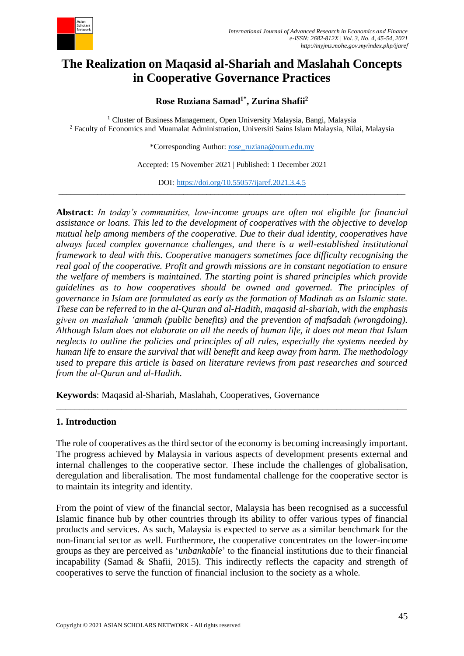

# **The Realization on Maqasid al-Shariah and Maslahah Concepts in Cooperative Governance Practices**

**Rose Ruziana Samad1\* , Zurina Shafii<sup>2</sup>**

<sup>1</sup> Cluster of Business Management, Open University Malaysia, Bangi, Malaysia <sup>2</sup> Faculty of Economics and Muamalat Administration, Universiti Sains Islam Malaysia, Nilai, Malaysia

\*Corresponding Author: [rose\\_ruziana@oum.edu.my](mailto:rose_ruziana@oum.edu.my)

Accepted: 15 November 2021 | Published: 1 December 2021

DOI: <https://doi.org/10.55057/ijaref.2021.3.4.5> \_\_\_\_\_\_\_\_\_\_\_\_\_\_\_\_\_\_\_\_\_\_\_\_\_\_\_\_\_\_\_\_\_\_\_\_\_\_\_\_\_\_\_\_\_\_\_\_\_\_\_\_\_\_\_\_\_\_\_\_\_\_\_\_\_\_\_\_\_\_\_\_\_\_\_\_\_\_\_\_\_\_\_\_\_\_\_\_\_

**Abstract**: *In today's communities, low-income groups are often not eligible for financial assistance or loans. This led to the development of cooperatives with the objective to develop mutual help among members of the cooperative. Due to their dual identity, cooperatives have always faced complex governance challenges, and there is a well-established institutional framework to deal with this. Cooperative managers sometimes face difficulty recognising the real goal of the cooperative. Profit and growth missions are in constant negotiation to ensure the welfare of members is maintained. The starting point is shared principles which provide guidelines as to how cooperatives should be owned and governed. The principles of governance in Islam are formulated as early as the formation of Madinah as an Islamic state. These can be referred to in the al-Quran and al-Hadith, maqasid al-shariah, with the emphasis given on maslahah 'ammah (public benefits) and the prevention of mafsadah (wrongdoing). Although Islam does not elaborate on all the needs of human life, it does not mean that Islam neglects to outline the policies and principles of all rules, especially the systems needed by human life to ensure the survival that will benefit and keep away from harm. The methodology used to prepare this article is based on literature reviews from past researches and sourced from the al-Quran and al-Hadith.*

**Keywords**: Maqasid al-Shariah, Maslahah, Cooperatives, Governance

#### **1. Introduction**

The role of cooperatives as the third sector of the economy is becoming increasingly important. The progress achieved by Malaysia in various aspects of development presents external and internal challenges to the cooperative sector. These include the challenges of globalisation, deregulation and liberalisation. The most fundamental challenge for the cooperative sector is to maintain its integrity and identity.

\_\_\_\_\_\_\_\_\_\_\_\_\_\_\_\_\_\_\_\_\_\_\_\_\_\_\_\_\_\_\_\_\_\_\_\_\_\_\_\_\_\_\_\_\_\_\_\_\_\_\_\_\_\_\_\_\_\_\_\_\_\_\_\_\_\_\_\_\_\_\_\_\_\_\_

From the point of view of the financial sector, Malaysia has been recognised as a successful Islamic finance hub by other countries through its ability to offer various types of financial products and services. As such, Malaysia is expected to serve as a similar benchmark for the non-financial sector as well. Furthermore, the cooperative concentrates on the lower-income groups as they are perceived as '*unbankable*' to the financial institutions due to their financial incapability (Samad & Shafii, 2015). This indirectly reflects the capacity and strength of cooperatives to serve the function of financial inclusion to the society as a whole.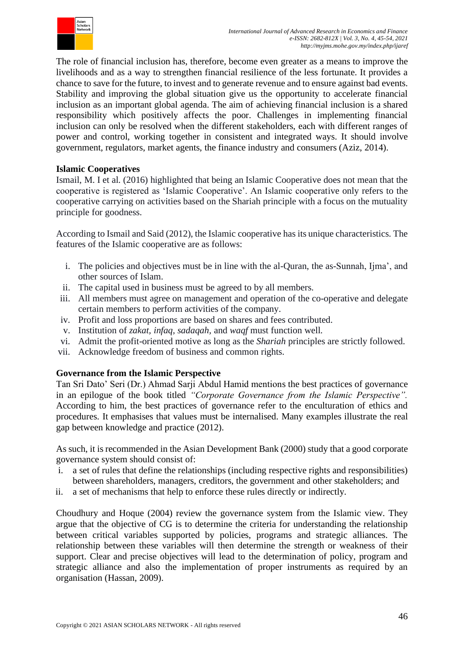

The role of financial inclusion has, therefore, become even greater as a means to improve the livelihoods and as a way to strengthen financial resilience of the less fortunate. It provides a chance to save for the future, to invest and to generate revenue and to ensure against bad events. Stability and improving the global situation give us the opportunity to accelerate financial inclusion as an important global agenda. The aim of achieving financial inclusion is a shared responsibility which positively affects the poor. Challenges in implementing financial inclusion can only be resolved when the different stakeholders, each with different ranges of power and control, working together in consistent and integrated ways. It should involve government, regulators, market agents, the finance industry and consumers (Aziz, 2014).

#### **Islamic Cooperatives**

Ismail, M. I et al. (2016) highlighted that being an Islamic Cooperative does not mean that the cooperative is registered as 'Islamic Cooperative'. An Islamic cooperative only refers to the cooperative carrying on activities based on the Shariah principle with a focus on the mutuality principle for goodness.

According to Ismail and Said (2012), the Islamic cooperative has its unique characteristics. The features of the Islamic cooperative are as follows:

- i. The policies and objectives must be in line with the al-Quran, the as-Sunnah, Ijma', and other sources of Islam.
- ii. The capital used in business must be agreed to by all members.
- iii. All members must agree on management and operation of the co-operative and delegate certain members to perform activities of the company.
- iv. Profit and loss proportions are based on shares and fees contributed.
- v. Institution of *zakat, infaq, sadaqah,* and *waqf* must function well.
- vi. Admit the profit-oriented motive as long as the *Shariah* principles are strictly followed.
- vii. Acknowledge freedom of business and common rights.

### **Governance from the Islamic Perspective**

Tan Sri Dato' Seri (Dr.) Ahmad Sarji Abdul Hamid mentions the best practices of governance in an epilogue of the book titled *"Corporate Governance from the Islamic Perspective".* According to him, the best practices of governance refer to the enculturation of ethics and procedures. It emphasises that values must be internalised. Many examples illustrate the real gap between knowledge and practice (2012).

As such, it is recommended in the Asian Development Bank (2000) study that a good corporate governance system should consist of:

- i. a set of rules that define the relationships (including respective rights and responsibilities) between shareholders, managers, creditors, the government and other stakeholders; and
- ii. a set of mechanisms that help to enforce these rules directly or indirectly.

Choudhury and Hoque (2004) review the governance system from the Islamic view. They argue that the objective of CG is to determine the criteria for understanding the relationship between critical variables supported by policies, programs and strategic alliances. The relationship between these variables will then determine the strength or weakness of their support. Clear and precise objectives will lead to the determination of policy, program and strategic alliance and also the implementation of proper instruments as required by an organisation (Hassan, 2009).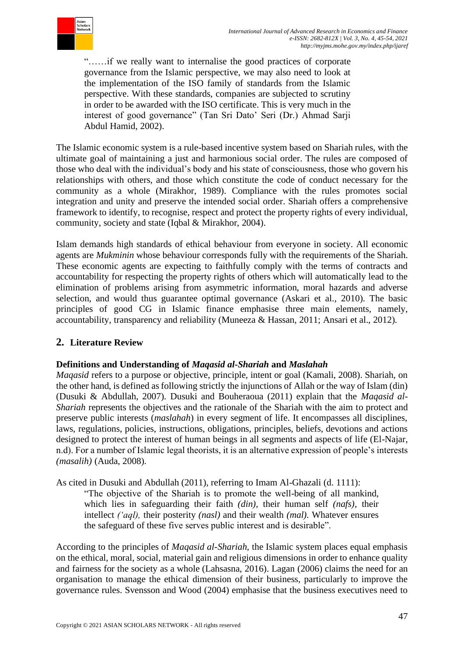

"……if we really want to internalise the good practices of corporate governance from the Islamic perspective, we may also need to look at the implementation of the ISO family of standards from the Islamic perspective. With these standards, companies are subjected to scrutiny in order to be awarded with the ISO certificate. This is very much in the interest of good governance" (Tan Sri Dato' Seri (Dr.) Ahmad Sarji Abdul Hamid, 2002).

The Islamic economic system is a rule-based incentive system based on Shariah rules, with the ultimate goal of maintaining a just and harmonious social order. The rules are composed of those who deal with the individual's body and his state of consciousness, those who govern his relationships with others, and those which constitute the code of conduct necessary for the community as a whole (Mirakhor, 1989). Compliance with the rules promotes social integration and unity and preserve the intended social order. Shariah offers a comprehensive framework to identify, to recognise, respect and protect the property rights of every individual, community, society and state (Iqbal & Mirakhor, 2004).

Islam demands high standards of ethical behaviour from everyone in society. All economic agents are *Mukminin* whose behaviour corresponds fully with the requirements of the Shariah. These economic agents are expecting to faithfully comply with the terms of contracts and accountability for respecting the property rights of others which will automatically lead to the elimination of problems arising from asymmetric information, moral hazards and adverse selection, and would thus guarantee optimal governance (Askari et al., 2010). The basic principles of good CG in Islamic finance emphasise three main elements, namely, accountability, transparency and reliability (Muneeza & Hassan, 2011; Ansari et al., 2012).

### **2. Literature Review**

### **Definitions and Understanding of** *Maqasid al-Shariah* **and** *Maslahah*

*Maqasid* refers to a purpose or objective, principle, intent or goal (Kamali, 2008). Shariah, on the other hand, is defined as following strictly the injunctions of Allah or the way of Islam (din) (Dusuki & Abdullah, 2007). Dusuki and Bouheraoua (2011) explain that the *Maqasid al-Shariah* represents the objectives and the rationale of the Shariah with the aim to protect and preserve public interests (*maslahah*) in every segment of life. It encompasses all disciplines, laws, regulations, policies, instructions, obligations, principles, beliefs, devotions and actions designed to protect the interest of human beings in all segments and aspects of life (El-Najar, n.d). For a number of Islamic legal theorists, it is an alternative expression of people's interests *(masalih)* (Auda, 2008).

As cited in Dusuki and Abdullah (2011), referring to Imam Al-Ghazali (d. 1111):

"The objective of the Shariah is to promote the well-being of all mankind, which lies in safeguarding their faith *(din),* their human self *(nafs)*, their intellect *('aql),* their posterity *(nasl)* and their wealth *(mal).* Whatever ensures the safeguard of these five serves public interest and is desirable".

According to the principles of *Maqasid al-Shariah,* the Islamic system places equal emphasis on the ethical, moral, social, material gain and religious dimensions in order to enhance quality and fairness for the society as a whole (Lahsasna, 2016). Lagan (2006) claims the need for an organisation to manage the ethical dimension of their business, particularly to improve the governance rules. Svensson and Wood (2004) emphasise that the business executives need to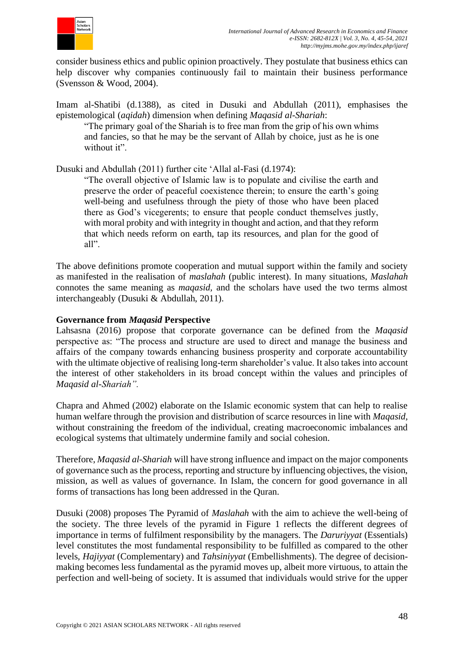

consider business ethics and public opinion proactively. They postulate that business ethics can help discover why companies continuously fail to maintain their business performance (Svensson & Wood, 2004).

Imam al-Shatibi (d.1388), as cited in Dusuki and Abdullah (2011), emphasises the epistemological (*aqidah*) dimension when defining *Maqasid al-Shariah*:

"The primary goal of the Shariah is to free man from the grip of his own whims and fancies, so that he may be the servant of Allah by choice, just as he is one without it".

Dusuki and Abdullah (2011) further cite 'Allal al-Fasi (d.1974):

"The overall objective of Islamic law is to populate and civilise the earth and preserve the order of peaceful coexistence therein; to ensure the earth's going well-being and usefulness through the piety of those who have been placed there as God's vicegerents; to ensure that people conduct themselves justly, with moral probity and with integrity in thought and action, and that they reform that which needs reform on earth, tap its resources, and plan for the good of all".

The above definitions promote cooperation and mutual support within the family and society as manifested in the realisation of *maslahah* (public interest). In many situations, *Maslahah* connotes the same meaning as *maqasid,* and the scholars have used the two terms almost interchangeably (Dusuki & Abdullah, 2011).

#### **Governance from** *Maqasid* **Perspective**

Lahsasna (2016) propose that corporate governance can be defined from the *Maqasid* perspective as: "The process and structure are used to direct and manage the business and affairs of the company towards enhancing business prosperity and corporate accountability with the ultimate objective of realising long-term shareholder's value. It also takes into account the interest of other stakeholders in its broad concept within the values and principles of *Maqasid al-Shariah".*

Chapra and Ahmed (2002) elaborate on the Islamic economic system that can help to realise human welfare through the provision and distribution of scarce resources in line with *Maqasid,* without constraining the freedom of the individual, creating macroeconomic imbalances and ecological systems that ultimately undermine family and social cohesion.

Therefore, *Maqasid al-Shariah* will have strong influence and impact on the major components of governance such as the process, reporting and structure by influencing objectives, the vision, mission, as well as values of governance. In Islam, the concern for good governance in all forms of transactions has long been addressed in the Quran.

Dusuki (2008) proposes The Pyramid of *Maslahah* with the aim to achieve the well-being of the society. The three levels of the pyramid in Figure 1 reflects the different degrees of importance in terms of fulfilment responsibility by the managers. The *Daruriyyat* (Essentials) level constitutes the most fundamental responsibility to be fulfilled as compared to the other levels, *Hajiyyat* (Complementary) and *Tahsiniyyat* (Embellishments). The degree of decisionmaking becomes less fundamental as the pyramid moves up, albeit more virtuous, to attain the perfection and well-being of society. It is assumed that individuals would strive for the upper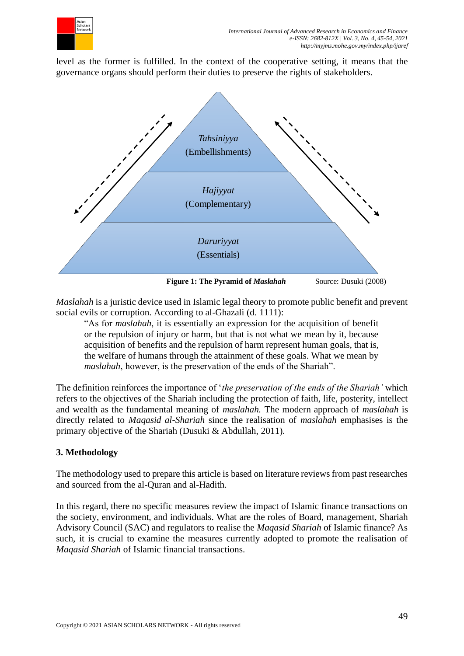

level as the former is fulfilled. In the context of the cooperative setting, it means that the governance organs should perform their duties to preserve the rights of stakeholders.



*Maslahah* is a juristic device used in Islamic legal theory to promote public benefit and prevent social evils or corruption. According to al-Ghazali (d. 1111):

"As for *maslahah*, it is essentially an expression for the acquisition of benefit or the repulsion of injury or harm, but that is not what we mean by it, because acquisition of benefits and the repulsion of harm represent human goals, that is, the welfare of humans through the attainment of these goals. What we mean by *maslahah*, however, is the preservation of the ends of the Shariah".

The definition reinforces the importance of '*the preservation of the ends of the Shariah'* which refers to the objectives of the Shariah including the protection of faith, life, posterity, intellect and wealth as the fundamental meaning of *maslahah.* The modern approach of *maslahah* is directly related to *Maqasid al-Shariah* since the realisation of *maslahah* emphasises is the primary objective of the Shariah (Dusuki & Abdullah, 2011).

### **3. Methodology**

The methodology used to prepare this article is based on literature reviews from past researches and sourced from the al-Quran and al-Hadith.

In this regard, there no specific measures review the impact of Islamic finance transactions on the society, environment, and individuals. What are the roles of Board, management, Shariah Advisory Council (SAC) and regulators to realise the *Maqasid Shariah* of Islamic finance? As such, it is crucial to examine the measures currently adopted to promote the realisation of *Maqasid Shariah* of Islamic financial transactions.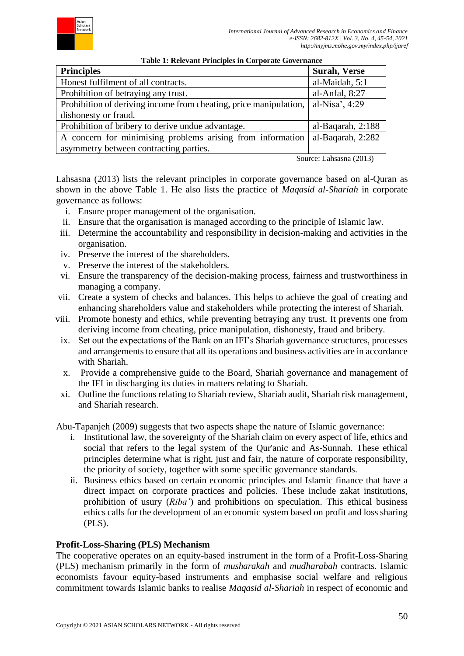

| <b>Surah, Verse</b> |
|---------------------|
| al-Maidah, 5:1      |
| al-Anfal, 8:27      |
| al-Nisa', 4:29      |
|                     |
| al-Baqarah, 2:188   |
| al-Baqarah, 2:282   |
|                     |
|                     |

**Table 1: Relevant Principles in Corporate Governance**

Source: Lahsasna (2013)

Lahsasna (2013) lists the relevant principles in corporate governance based on al-Quran as shown in the above Table 1. He also lists the practice of *Maqasid al-Shariah* in corporate governance as follows:

- i. Ensure proper management of the organisation.
- ii. Ensure that the organisation is managed according to the principle of Islamic law.
- iii. Determine the accountability and responsibility in decision-making and activities in the organisation.
- iv. Preserve the interest of the shareholders.
- v. Preserve the interest of the stakeholders.
- vi. Ensure the transparency of the decision-making process, fairness and trustworthiness in managing a company.
- vii. Create a system of checks and balances. This helps to achieve the goal of creating and enhancing shareholders value and stakeholders while protecting the interest of Shariah.
- viii. Promote honesty and ethics, while preventing betraying any trust. It prevents one from deriving income from cheating, price manipulation, dishonesty, fraud and bribery.
- ix. Set out the expectations of the Bank on an IFI's Shariah governance structures, processes and arrangements to ensure that all its operations and business activities are in accordance with Shariah.
- x. Provide a comprehensive guide to the Board, Shariah governance and management of the IFI in discharging its duties in matters relating to Shariah.
- xi. Outline the functions relating to Shariah review, Shariah audit, Shariah risk management, and Shariah research.

Abu-Tapanjeh (2009) suggests that two aspects shape the nature of Islamic governance:

- i. Institutional law, the sovereignty of the Shariah claim on every aspect of life, ethics and social that refers to the legal system of the Qur'anic and As-Sunnah. These ethical principles determine what is right, just and fair, the nature of corporate responsibility, the priority of society, together with some specific governance standards.
- ii. Business ethics based on certain economic principles and Islamic finance that have a direct impact on corporate practices and policies. These include zakat institutions, prohibition of usury (*Riba'*) and prohibitions on speculation. This ethical business ethics calls for the development of an economic system based on profit and loss sharing (PLS).

#### **Profit-Loss-Sharing (PLS) Mechanism**

The cooperative operates on an equity-based instrument in the form of a Profit-Loss-Sharing (PLS) mechanism primarily in the form of *musharakah* and *mudharabah* contracts. Islamic economists favour equity-based instruments and emphasise social welfare and religious commitment towards Islamic banks to realise *Maqasid al-Shariah* in respect of economic and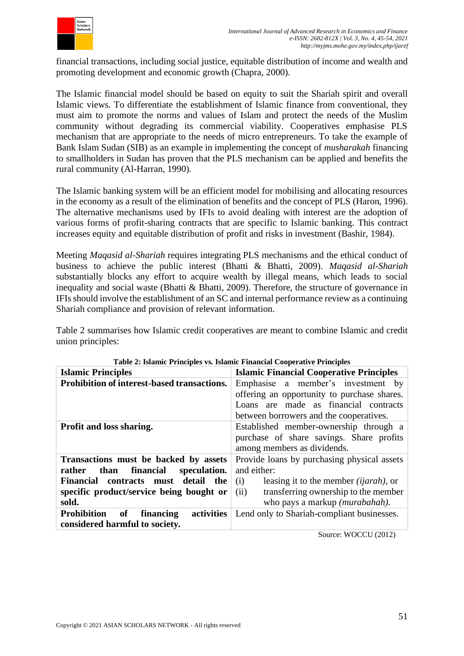

financial transactions, including social justice, equitable distribution of income and wealth and promoting development and economic growth (Chapra, 2000).

The Islamic financial model should be based on equity to suit the Shariah spirit and overall Islamic views. To differentiate the establishment of Islamic finance from conventional, they must aim to promote the norms and values of Islam and protect the needs of the Muslim community without degrading its commercial viability. Cooperatives emphasise PLS mechanism that are appropriate to the needs of micro entrepreneurs. To take the example of Bank Islam Sudan (SIB) as an example in implementing the concept of *musharakah* financing to smallholders in Sudan has proven that the PLS mechanism can be applied and benefits the rural community (Al-Harran, 1990).

The Islamic banking system will be an efficient model for mobilising and allocating resources in the economy as a result of the elimination of benefits and the concept of PLS (Haron, 1996). The alternative mechanisms used by IFIs to avoid dealing with interest are the adoption of various forms of profit-sharing contracts that are specific to Islamic banking. This contract increases equity and equitable distribution of profit and risks in investment (Bashir, 1984).

Meeting *Maqasid al-Shariah* requires integrating PLS mechanisms and the ethical conduct of business to achieve the public interest (Bhatti & Bhatti, 2009). *Maqasid al-Shariah* substantially blocks any effort to acquire wealth by illegal means, which leads to social inequality and social waste (Bhatti & Bhatti, 2009). Therefore, the structure of governance in IFIs should involve the establishment of an SC and internal performance review as a continuing Shariah compliance and provision of relevant information.

Table 2 summarises how Islamic credit cooperatives are meant to combine Islamic and credit union principles:

| <b>Islamic Principles</b>                                                             | <b>Islamic Financial Cooperative Principles</b>                                    |  |  |
|---------------------------------------------------------------------------------------|------------------------------------------------------------------------------------|--|--|
| Prohibition of interest-based transactions.                                           | Emphasise a member's investment by                                                 |  |  |
|                                                                                       | offering an opportunity to purchase shares.                                        |  |  |
|                                                                                       | Loans are made as financial contracts                                              |  |  |
|                                                                                       | between borrowers and the cooperatives.                                            |  |  |
| Profit and loss sharing.                                                              | Established member-ownership through a<br>purchase of share savings. Share profits |  |  |
|                                                                                       |                                                                                    |  |  |
|                                                                                       | among members as dividends.                                                        |  |  |
| Provide loans by purchasing physical assets<br>Transactions must be backed by assets  |                                                                                    |  |  |
| rather<br>than<br>financial<br>speculation.                                           | and either:                                                                        |  |  |
| contracts must detail the<br>Financial                                                | leasing it to the member <i>(ijarah)</i> , or<br>(i)                               |  |  |
| specific product/service being bought or                                              | transferring ownership to the member<br>(ii)                                       |  |  |
| sold.                                                                                 | who pays a markup ( <i>murabahah</i> ).                                            |  |  |
| <b>Prohibition</b><br>activities<br>of<br>financing<br>considered harmful to society. | Lend only to Shariah-compliant businesses.                                         |  |  |

|  | Table 2: Islamic Principles vs. Islamic Financial Cooperative Principles |  |  |
|--|--------------------------------------------------------------------------|--|--|
|  |                                                                          |  |  |

Source: WOCCU (2012)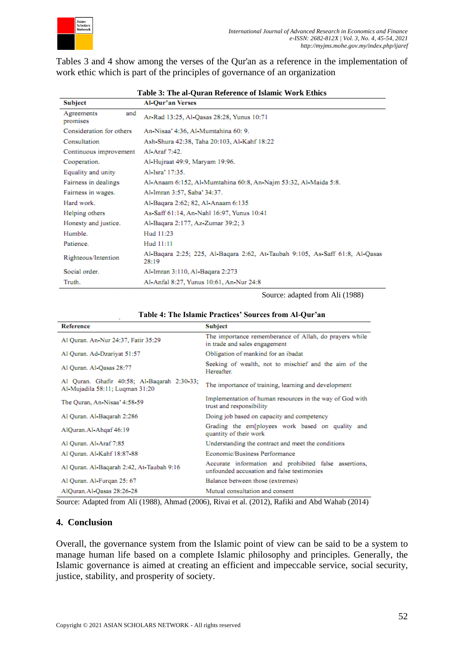

Tables 3 and 4 show among the verses of the Qur'an as a reference in the implementation of work ethic which is part of the principles of governance of an organization

| <b>Subject</b>                | <b>Al-Qur'an Verses</b>                                                               |
|-------------------------------|---------------------------------------------------------------------------------------|
| Agreements<br>and<br>promises | Ar Rad 13:25, Al Qasas 28:28, Yunus 10:71                                             |
| Consideration for others      | An-Nisaa' 4:36, Al-Mumtahina 60: 9.                                                   |
| Consultation                  | Ash-Shura 42:38, Taha 20:103, Al-Kahf 18:22                                           |
| Continuous improvement        | Al-Araf 7:42.                                                                         |
| Cooperation.                  | Al-Hujraat 49:9, Maryam 19:96.                                                        |
| Equality and unity            | Al-Isra' 17:35.                                                                       |
| Fairness in dealings          | Al-Anaam 6:152, Al-Mumtahina 60:8, An-Najm 53:32, Al-Maida 5:8.                       |
| Fairness in wages.            | Al-Imran 3:57, Saba' 34:37.                                                           |
| Hard work.                    | Al-Baqara 2:62; 82, Al-Anaam 6:135                                                    |
| Helping others                | As-Saff 61:14, An-Nahl 16:97, Yunus 10:41                                             |
| Honesty and justice.          | Al-Baqara 2:177, Az-Zumar 39:2: 3                                                     |
| Humble.                       | Hud 11:23                                                                             |
| Patience.                     | Hud 11:11                                                                             |
| Righteous/Intention           | Al-Baqara 2:25; 225, Al-Baqara 2:62, At-Taubah 9:105, As-Saff 61:8, Al-Qasas<br>28:19 |
| Social order.                 | Al-Imran 3:110, Al-Baqara 2:273                                                       |
| Truth.                        | Al-Anfal 8:27, Yunus 10:61, An-Nur 24:8                                               |

## **Table 3: The al-Quran Reference of Islamic Work Ethics**

Source: adapted from Ali (1988)

| <b>Reference</b>                                                               | <b>Subject</b>                                                                                      |
|--------------------------------------------------------------------------------|-----------------------------------------------------------------------------------------------------|
| Al Quran, An Nur 24:37, Fatir 35:29                                            | The importance rememberance of Allah, do prayers while<br>in trade and sales engagement             |
| Al Quran, Ad-Dzariyat 51:57                                                    | Obligation of mankind for an ibadat                                                                 |
| Al Quran, Al-Qasas 28:77                                                       | Seeking of wealth, not to mischief and the aim of the<br>Hereafter.                                 |
| Al Quran, Ghafir 40:58; Al-Baqarah 2:30 33;<br>Al-Mujadila 58:11; Luqman 31:20 | The importance of training, learning and development                                                |
| The Ouran, An Nisaa' 4:58-59                                                   | Implementation of human resources in the way of God with<br>trust and responsibility                |
| Al Quran, Al-Baqarah 2:286                                                     | Doing job based on capacity and competency                                                          |
| AlQuran.Al-Ahqaf 46:19                                                         | Grading the em[ployees work based on quality and<br>quantity of their work                          |
| Al Quran, Al-Araf 7:85                                                         | Understanding the contract and meet the conditions                                                  |
| Al Quran. Al-Kahf 18:87-88                                                     | Economic/Business Performance                                                                       |
| Al Quran, Al-Baqarah 2:42, At-Taubah 9:16                                      | Accurate information and prohibited false assertions,<br>unfounded accusation and false testimonies |
| Al Quran, Al-Furgan 25: 67                                                     | Balance between those (extremes)                                                                    |
| AlQuran.Al-Qasas 28:26-28                                                      | Mutual consultation and consent                                                                     |

Source: Adapted from Ali (1988), Ahmad (2006), Rivai et al. (2012), Rafiki and Abd Wahab (2014)

#### **4. Conclusion**

Overall, the governance system from the Islamic point of view can be said to be a system to manage human life based on a complete Islamic philosophy and principles. Generally, the Islamic governance is aimed at creating an efficient and impeccable service, social security, justice, stability, and prosperity of society.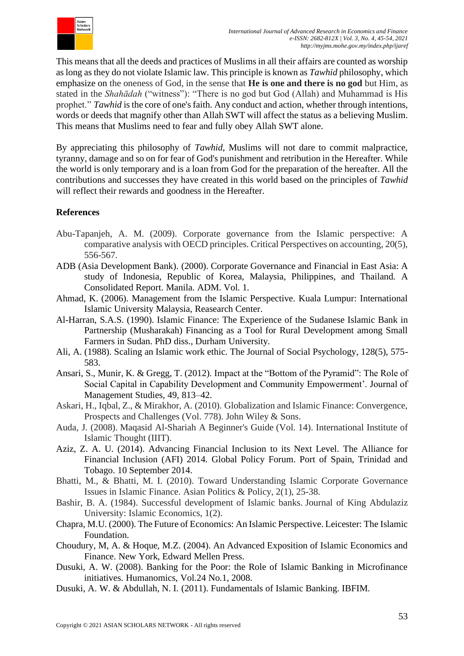

This means that all the deeds and practices of Muslims in all their affairs are counted as worship as long as they do not violate Islamic law. This principle is known as *Tawhid* philosophy, which emphasize on the oneness of God, in the sense that **He is one and there is no god** but Him, as stated in the *Shahādah* ("witness"): "There is no god but God (Allah) and Muhammad is His prophet." *Tawhid* is the core of one's faith. Any conduct and action, whether through intentions, words or deeds that magnify other than Allah SWT will affect the status as a believing Muslim. This means that Muslims need to fear and fully obey Allah SWT alone.

By appreciating this philosophy of *Tawhid*, Muslims will not dare to commit malpractice, tyranny, damage and so on for fear of God's punishment and retribution in the Hereafter. While the world is only temporary and is a loan from God for the preparation of the hereafter. All the contributions and successes they have created in this world based on the principles of *Tawhid* will reflect their rewards and goodness in the Hereafter.

### **References**

- Abu-Tapanjeh, A. M. (2009). Corporate governance from the Islamic perspective: A comparative analysis with OECD principles. Critical Perspectives on accounting, 20(5), 556-567.
- ADB (Asia Development Bank). (2000). Corporate Governance and Financial in East Asia: A study of Indonesia, Republic of Korea, Malaysia, Philippines, and Thailand. A Consolidated Report. Manila. ADM. Vol. 1.
- Ahmad, K. (2006). Management from the Islamic Perspective. Kuala Lumpur: International Islamic University Malaysia, Reasearch Center.
- Al-Harran, S.A.S. (1990). Islamic Finance: The Experience of the Sudanese Islamic Bank in Partnership (Musharakah) Financing as a Tool for Rural Development among Small Farmers in Sudan. PhD diss., Durham University.
- Ali, A. (1988). Scaling an Islamic work ethic. The Journal of Social Psychology, 128(5), 575- 583.
- Ansari, S., Munir, K. & Gregg, T. (2012). Impact at the "Bottom of the Pyramid": The Role of Social Capital in Capability Development and Community Empowerment'. Journal of Management Studies, 49, 813–42.
- Askari, H., Iqbal, Z., & Mirakhor, A. (2010). Globalization and Islamic Finance: Convergence, Prospects and Challenges (Vol. 778). John Wiley & Sons.
- Auda, J. (2008). Maqasid Al-Shariah A Beginner's Guide (Vol. 14). International Institute of Islamic Thought (IIIT).
- Aziz, Z. A. U. (2014). Advancing Financial Inclusion to its Next Level. The Alliance for Financial Inclusion (AFI) 2014. Global Policy Forum. Port of Spain, Trinidad and Tobago. 10 September 2014.
- Bhatti, M., & Bhatti, M. I. (2010). Toward Understanding Islamic Corporate Governance Issues in Islamic Finance. Asian Politics & Policy, 2(1), 25-38.
- Bashir, B. A. (1984). Successful development of Islamic banks. Journal of King Abdulaziz University: Islamic Economics, 1(2).
- Chapra, M.U. (2000). The Future of Economics: An Islamic Perspective. Leicester: The Islamic Foundation.
- Choudury, M, A. & Hoque, M.Z. (2004). An Advanced Exposition of Islamic Economics and Finance. New York, Edward Mellen Press.
- Dusuki, A. W. (2008). Banking for the Poor: the Role of Islamic Banking in Microfinance initiatives. Humanomics, Vol.24 No.1, 2008.
- Dusuki, A. W. & Abdullah, N. I. (2011). Fundamentals of Islamic Banking. IBFIM.